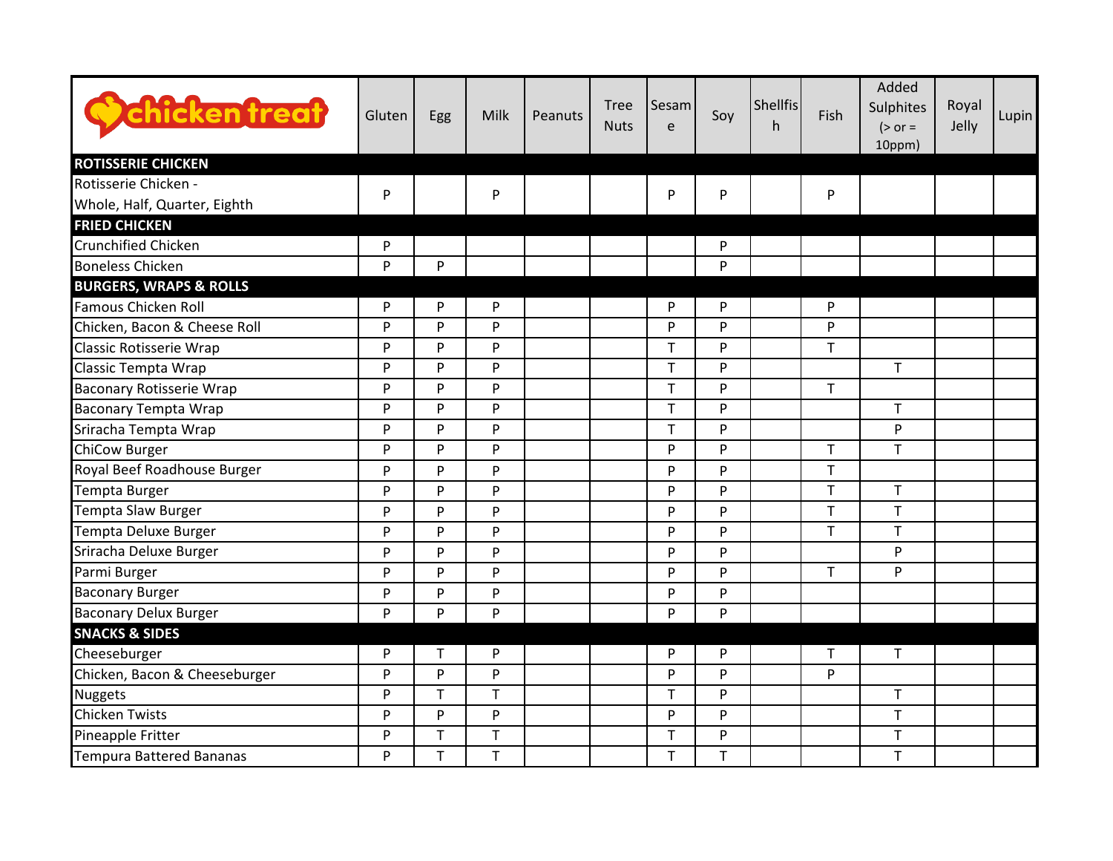| <b>Chicken treat</b>              | Gluten    | Egg         | Milk | Peanuts | <b>Tree</b><br><b>Nuts</b> | Sesam<br>e   | Soy         | <b>Shellfis</b><br>h | Fish         | Added<br>Sulphites<br>$(>\circ r =$<br>10ppm) | Royal<br>Jelly | <b>Lupin</b> |
|-----------------------------------|-----------|-------------|------|---------|----------------------------|--------------|-------------|----------------------|--------------|-----------------------------------------------|----------------|--------------|
| <b>ROTISSERIE CHICKEN</b>         |           |             |      |         |                            |              |             |                      |              |                                               |                |              |
| Rotisserie Chicken -              | ${\sf P}$ |             | P    |         |                            | $\mathsf{P}$ | ${\sf P}$   |                      | P            |                                               |                |              |
| Whole, Half, Quarter, Eighth      |           |             |      |         |                            |              |             |                      |              |                                               |                |              |
| <b>FRIED CHICKEN</b>              |           |             |      |         |                            |              |             |                      |              |                                               |                |              |
| <b>Crunchified Chicken</b>        | P         |             |      |         |                            |              | P           |                      |              |                                               |                |              |
| <b>Boneless Chicken</b>           | P         | P           |      |         |                            |              | P           |                      |              |                                               |                |              |
| <b>BURGERS, WRAPS &amp; ROLLS</b> |           |             |      |         |                            |              |             |                      |              |                                               |                |              |
| Famous Chicken Roll               | P         | P           | P    |         |                            | P            | P           |                      | P            |                                               |                |              |
| Chicken, Bacon & Cheese Roll      | P         | P           | P.   |         |                            | P            | P           |                      | P            |                                               |                |              |
| Classic Rotisserie Wrap           | P         | P           | P    |         |                            | T            | P           |                      | $\mathsf T$  |                                               |                |              |
| Classic Tempta Wrap               | P         | P           | P    |         |                            | T            | P           |                      |              | T                                             |                |              |
| <b>Baconary Rotisserie Wrap</b>   | P         | P           | P.   |         |                            | T            | P           |                      | $\mathsf{T}$ |                                               |                |              |
| <b>Baconary Tempta Wrap</b>       | ${\sf P}$ | P           | P    |         |                            | T            | ${\sf P}$   |                      |              | T                                             |                |              |
| Sriracha Tempta Wrap              | P         | P           | P    |         |                            | T            | P           |                      |              | P                                             |                |              |
| <b>ChiCow Burger</b>              | P         | P           | P    |         |                            | P            | P           |                      | $\mathsf T$  | T                                             |                |              |
| Royal Beef Roadhouse Burger       | P         | P           | P    |         |                            | P            | P           |                      | $\mathsf{T}$ |                                               |                |              |
| Tempta Burger                     | P         | P           | P    |         |                            | P            | P           |                      | $\mathsf{T}$ | T                                             |                |              |
| Tempta Slaw Burger                | ${\sf P}$ | P           | P    |         |                            | P            | ${\sf P}$   |                      | $\mathsf{T}$ | T                                             |                |              |
| Tempta Deluxe Burger              | P         | P           | P    |         |                            | P            | P           |                      | $\mathsf{T}$ | T                                             |                |              |
| Sriracha Deluxe Burger            | P         | P           | P    |         |                            | P            | P           |                      |              | P                                             |                |              |
| Parmi Burger                      | P         | P           | P.   |         |                            | P            | P           |                      | $\mathsf{T}$ | P                                             |                |              |
| <b>Baconary Burger</b>            | P         | P           | P    |         |                            | P            | P           |                      |              |                                               |                |              |
| <b>Baconary Delux Burger</b>      | P         | P           | P    |         |                            | P            | P           |                      |              |                                               |                |              |
| <b>SNACKS &amp; SIDES</b>         |           |             |      |         |                            |              |             |                      |              |                                               |                |              |
| Cheeseburger                      | P         | $\mathsf T$ | P    |         |                            | P            | P           |                      | $\mathsf{T}$ | T                                             |                |              |
| Chicken, Bacon & Cheeseburger     | P         | P           | P    |         |                            | P            | P           |                      | P            |                                               |                |              |
| <b>Nuggets</b>                    | ${\sf P}$ | T           | T    |         |                            | $\mathsf T$  | ${\sf P}$   |                      |              | T                                             |                |              |
| <b>Chicken Twists</b>             | P         | P           | P    |         |                            | P            | P           |                      |              | T                                             |                |              |
| Pineapple Fritter                 | P         | T           | T    |         |                            | T            | P           |                      |              | T                                             |                |              |
| <b>Tempura Battered Bananas</b>   | P         | T           | T    |         |                            | $\mathsf T$  | $\mathsf T$ |                      |              | $\top$                                        |                |              |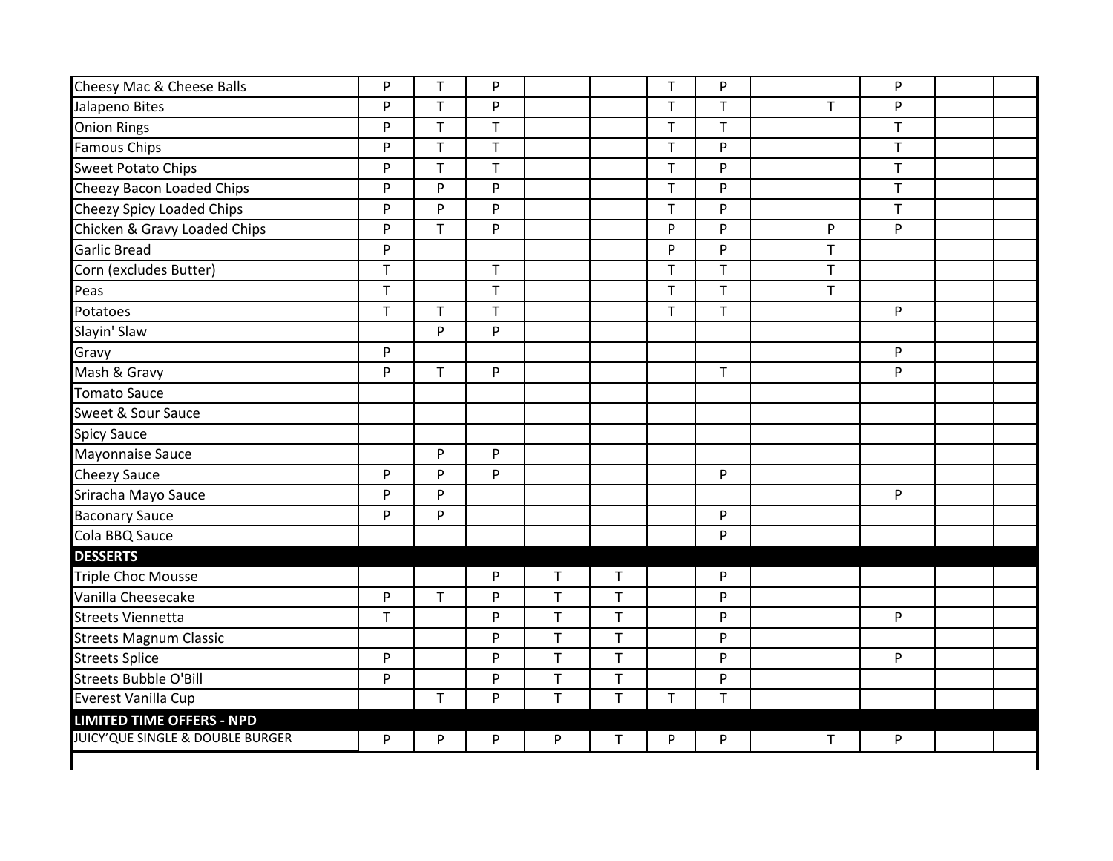| Cheesy Mac & Cheese Balls                                            | ${\sf P}$    | T.           | P              |             |              | $\mathsf T$  | ${\sf P}$    |              | P            |  |
|----------------------------------------------------------------------|--------------|--------------|----------------|-------------|--------------|--------------|--------------|--------------|--------------|--|
| Jalapeno Bites                                                       | ${\sf P}$    | T.           | P              |             |              | $\mathsf T$  | $\mathsf T$  | $\mathsf{T}$ | P            |  |
| <b>Onion Rings</b>                                                   | P            | $\mathsf T$  | $\overline{T}$ |             |              | $\mathsf{T}$ | $\mathsf T$  |              | $\mathsf{T}$ |  |
| Famous Chips                                                         | P            | T.           | T.             |             |              | $\mathsf{T}$ | P            |              | $\mathsf T$  |  |
| <b>Sweet Potato Chips</b>                                            | ${\sf P}$    | $\mathsf T$  | T              |             |              | $\mathsf T$  | ${\sf P}$    |              | $\top$       |  |
| Cheezy Bacon Loaded Chips                                            | P            | P            | P              |             |              | $\top$       | ${\sf P}$    |              | $\top$       |  |
| Cheezy Spicy Loaded Chips                                            | P            | P            | P              |             |              | $\mathsf T$  | ${\sf P}$    |              | $\mathsf T$  |  |
| Chicken & Gravy Loaded Chips                                         | ${\sf P}$    | T            | P              |             |              | P            | P            | ${\sf P}$    | P            |  |
| <b>Garlic Bread</b>                                                  | P            |              |                |             |              | P            | P            | $\mathsf{T}$ |              |  |
| Corn (excludes Butter)                                               | $\mathsf{T}$ |              | T.             |             |              | $\mathsf T$  | $\mathsf{T}$ | $\mathsf{T}$ |              |  |
| Peas                                                                 | $\mathsf T$  |              | T.             |             |              | $\mathsf T$  | $\mathsf T$  | $\mathsf T$  |              |  |
| Potatoes                                                             | $\mathsf T$  | $\mathsf{T}$ | T.             |             |              | $\mathsf T$  | $\top$       |              | P            |  |
| Slayin' Slaw                                                         |              | P            | P              |             |              |              |              |              |              |  |
| Gravy                                                                | P            |              |                |             |              |              |              |              | P            |  |
| Mash & Gravy                                                         | P            | T.           | P              |             |              |              | $\mathsf T$  |              | P            |  |
| <b>Tomato Sauce</b>                                                  |              |              |                |             |              |              |              |              |              |  |
| Sweet & Sour Sauce                                                   |              |              |                |             |              |              |              |              |              |  |
| <b>Spicy Sauce</b>                                                   |              |              |                |             |              |              |              |              |              |  |
| Mayonnaise Sauce                                                     |              | P            | P              |             |              |              |              |              |              |  |
| <b>Cheezy Sauce</b>                                                  | P            | P            | P.             |             |              |              | P            |              |              |  |
| Sriracha Mayo Sauce                                                  | P            | P            |                |             |              |              |              |              | P            |  |
| <b>Baconary Sauce</b>                                                | P            | P            |                |             |              |              | P            |              |              |  |
| Cola BBQ Sauce                                                       |              |              |                |             |              |              | P            |              |              |  |
| <b>DESSERTS</b>                                                      |              |              |                |             |              |              |              |              |              |  |
| <b>Triple Choc Mousse</b>                                            |              |              | P              | $\mathsf T$ | $\mathsf{T}$ |              | P            |              |              |  |
| Vanilla Cheesecake                                                   | P            | $\mathsf{T}$ | P              | $\mathsf T$ | $\mathsf T$  |              | P            |              |              |  |
| <b>Streets Viennetta</b>                                             | $\mathsf{T}$ |              | P              | $\mathsf T$ | $\top$       |              | ${\sf P}$    |              | P            |  |
| <b>Streets Magnum Classic</b>                                        |              |              | P              | $\top$      | $\sf T$      |              | ${\sf P}$    |              |              |  |
| <b>Streets Splice</b>                                                | ${\sf P}$    |              | P              | $\mathsf T$ | $\mathsf T$  |              | ${\sf P}$    |              | P            |  |
| Streets Bubble O'Bill                                                | P            |              | P              | $\mathsf T$ | $\mathsf T$  |              | ${\sf P}$    |              |              |  |
| Everest Vanilla Cup                                                  |              | T.           | P              | $\mathsf T$ | $\mathsf T$  | $\mathsf T$  | $\mathsf{T}$ |              |              |  |
| <b>LIMITED TIME OFFERS - NPD</b><br>JUICY'QUE SINGLE & DOUBLE BURGER | P            | P            | P              | P           | Τ            | P            | P            | $\mathsf T$  | P            |  |
|                                                                      |              |              |                |             |              |              |              |              |              |  |
|                                                                      |              |              |                |             |              |              |              |              |              |  |